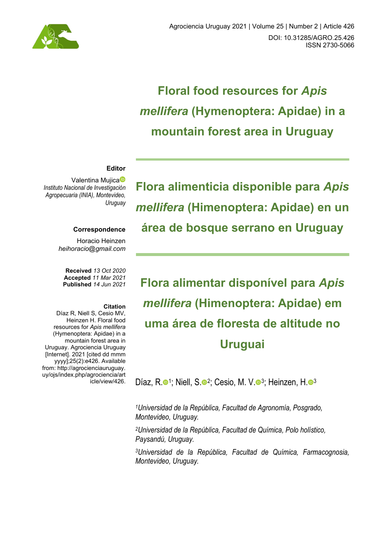

# **Floral food resources for** *Apis mellifera* **(Hymenoptera: Apidae) in a mountain forest area in Uruguay**

#### **Editor**

Valentina Mujica<sup>®</sup> *Instituto Nacional de Investigación Agropecuaria (INIA), Montevideo, Uruguay*

#### **Correspondence**

Horacio Heinzen *heihoracio@gmail.com*

**Received** *13 Oct 2020*  **Accepted** *11 Mar 2021*  **Published** *14 Jun 2021*

#### **Citation**

Díaz R, Niell S, Cesio MV, Heinzen H. Floral food resources for *Apis mellifera* (Hymenoptera: Apidae) in a mountain forest area in Uruguay. Agrociencia Uruguay [Internet]. 2021 [cited dd mmm yyyy];25(2):e426. Available from: [http://agrocienciauruguay.](http://agrocienciauruguay/)  uy/ojs/index.php/agrociencia/art icle/view/426. **Flora alimenticia disponible para** *Apis mellifera* **(Himenoptera: Apidae) en un área de bosque serrano en Uruguay** 

**Flora alimentar disponível para** *Apis mellifera* **(Himenoptera: Apidae) em uma área de floresta de altitude no Uruguai**

Díaz, R[.](https://orcid.org/0000-0003-4334-8317) $\bullet$ <sup>1</sup>; Niell, S. $\bullet$ <sup>2</sup>; Cesio, M. V. $\bullet$ <sup>3</sup>; Heinzen, H. $\bullet$ <sup>3</sup>

*1Universidad de la República, Facultad de Agronomía, Posgrado, Montevideo, Uruguay.* 

*2Universidad de la República, Facultad de Química, Polo holístico, Paysandú, Uruguay.* 

*3Universidad de la República, Facultad de Química, Farmacognosia, Montevideo, Uruguay.*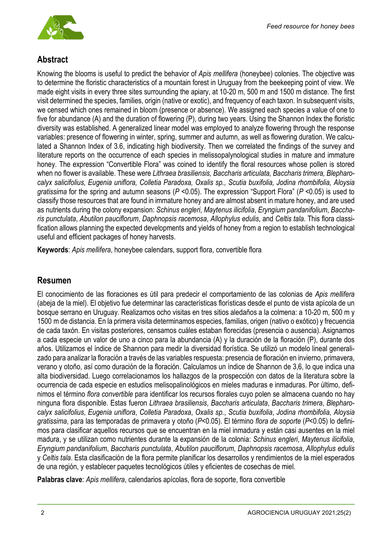

# **Abstract**

Knowing the blooms is useful to predict the behavior of *Apis mellifera* (honeybee) colonies. The objective was to determine the floristic characteristics of a mountain forest in Uruguay from the beekeeping point of view. We made eight visits in every three sites surrounding the apiary, at 10-20 m, 500 m and 1500 m distance. The first visit determined the species, families, origin (native or exotic), and frequency of each taxon. In subsequent visits, we censed which ones remained in bloom (presence or absence). We assigned each species a value of one to five for abundance (A) and the duration of flowering (P), during two years. Using the Shannon Index the floristic diversity was established. A generalized linear model was employed to analyze flowering through the response variables: presence of flowering in winter, spring, summer and autumn, as well as flowering duration. We calculated a Shannon Index of 3.6, indicating high biodiversity. Then we correlated the findings of the survey and literature reports on the occurrence of each species in melissopalynological studies in mature and immature honey. The expression "Convertible Flora" was coined to identify the floral resources whose pollen is stored when no flower is available. These were *Lithraea brasiliensis, Baccharis articulata, Baccharis trimera, Blepharocalyx salicifolius, Eugenia uniflora, Colletia Paradoxa, Oxalis sp., Scutia buxifolia, Jodina rhombifolia, Aloysia gratissima* for the spring and autumn seasons (*P* <0.05). The expression "Support Flora" (*P* <0.05) is used to classify those resources that are found in immature honey and are almost absent in mature honey, and are used as nutrients during the colony expansion: *Schinus engleri*, *Maytenus ilicifolia*, *Eryngium pandanifolium*, *Baccharis punctulata*, *Abutilon pauciflorum*, *Daphnopsis racemosa*, *Allophylus edulis*, and *Celtis tala*. This flora classification allows planning the expected developments and yields of honey from a region to establish technological useful and efficient packages of honey harvests.

**Keywords**: *Apis mellifera*, honeybee calendars, support flora, convertible flora

## **Resumen**

El conocimiento de las floraciones es útil para predecir el comportamiento de las colonias de *Apis mellifera* (abeja de la miel). El objetivo fue determinar las características florísticas desde el punto de vista apícola de un bosque serrano en Uruguay. Realizamos ocho visitas en tres sitios aledaños a la colmena: a 10-20 m, 500 m y 1500 m de distancia. En la primera visita determinamos especies, familias, origen (nativo o exótico) y frecuencia de cada taxón. En visitas posteriores, censamos cuáles estaban florecidas (presencia o ausencia). Asignamos a cada especie un valor de uno a cinco para la abundancia (A) y la duración de la floración (P), durante dos años. Utilizamos el índice de Shannon para medir la diversidad florística. Se utilizó un modelo lineal generalizado para analizar la floración a través de las variables respuesta: presencia de floración en invierno, primavera, verano y otoño, así como duración de la floración. Calculamos un índice de Shannon de 3,6, lo que indica una alta biodiversidad. Luego correlacionamos los hallazgos de la prospección con datos de la literatura sobre la ocurrencia de cada especie en estudios melisopalinológicos en mieles maduras e inmaduras. Por último, definimos el término *flora convertible* para identificar los recursos florales cuyo polen se almacena cuando no hay ninguna flora disponible. Estas fueron *Lithraea brasiliensis*, *Baccharis articulata*, *Baccharis trimera*, *Blepharocalyx salicifolius*, *Eugenia uniflora*, *Colletia Paradoxa*, *Oxalis sp.*, *Scutia buxifolia*, *Jodina rhombifolia*, *Aloysia gratissima*, para las temporadas de primavera y otoño (*P*<0.05). El término *flora de soporte* (*P*<0.05) lo definimos para clasificar aquellos recursos que se encuentran en la miel inmadura y están casi ausentes en la miel madura, y se utilizan como nutrientes durante la expansión de la colonia: *Schinus engleri*, *Maytenus ilicifolia*, *Eryngium pandanifolium*, *Baccharis punctulata*, *Abutilon pauciflorum*, *Daphnopsis racemosa*, *Allophylus edulis* y *Celtis tala*. Esta clasificación de la flora permite planificar los desarrollos y rendimientos de la miel esperados de una región, y establecer paquetes tecnológicos útiles y eficientes de cosechas de miel.

**Palabras clave**: *Apis mellifera*, calendarios apícolas, flora de soporte, flora convertible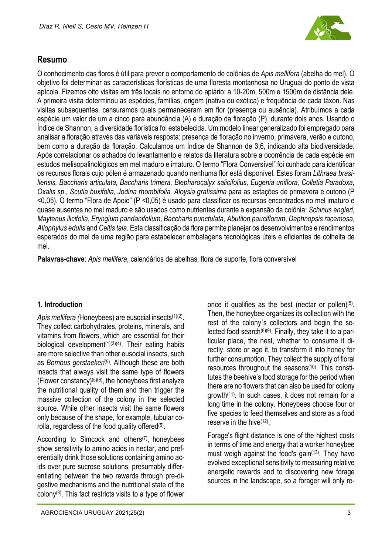

## **Resumo**

O conhecimento das flores é útil para prever o comportamento de colônias de *Apis mellifera* (abelha do mel). O objetivo foi determinar as características florísticas de uma floresta montanhosa no Uruguai do ponto de vista apícola. Fizemos oito visitas em três locais no entorno do apiário: a 10-20m, 500m e 1500m de distância dele. A primeira visita determinou as espécies, famílias, origem (nativa ou exótica) e frequência de cada táxon. Nas visitas subsequentes, censuramos quais permaneceram em flor (presença ou ausência). Atribuímos a cada espécie um valor de um a cinco para abundância (A) e duração da floração (P), durante dois anos. Usando o Índice de Shannon, a diversidade florística foi estabelecida. Um modelo linear generalizado foi empregado para analisar a floração através das variáveis resposta: presença de floração no inverno, primavera, verão e outono, bem como a duração da floração. Calculamos um Índice de Shannon de 3,6, indicando alta biodiversidade. Após correlacionar os achados do levantamento e relatos da literatura sobre a ocorrência de cada espécie em estudos melisopalinológicos em mel maduro e imaturo. O termo "Flora Conversível" foi cunhado para identificar os recursos florais cujo pólen é armazenado quando nenhuma flor está disponível. Estes foram *Lithraea brasiliensis, Baccharis articulata, Baccharis trimera, Blepharocalyx salicifolius, Eugenia uniflora, Colletia Paradoxa, Oxalis sp., Scutia buxifolia, Jodina rhombifolia, Aloysia gratissima* para as estações de primavera e outono (P <0,05). O termo "Flora de Apoio" (P <0,05) é usado para classificar os recursos encontrados no mel imaturo e quase ausentes no mel maduro e são usados como nutrientes durante a expansão da colônia: *Schinus engleri*, *Maytenus ilicifolia*, *Eryngium pandanifolium*, *Baccharis punctulata*, *Abutilon pauciflorum*, *Daphnopsis racemosa*, *Allophylus edulis* and *Celtis tala*. Esta classificação da flora permite planejar os desenvolvimentos e rendimentos esperados do mel de uma região para estabelecer embalagens tecnológicas úteis e eficientes de colheita de mel.

**Palavras-chave**: *Apis mellifera*, calendários de abelhas, flora de suporte, flora conversível

#### **1. Introduction**

Apis mellifera (Honeybees) are eusocial insects<sup>(1)(2)</sup>. They collect carbohydrates, proteins, minerals, and vitamins from flowers, which are essential for their biological development $(1)(3)(4)$ . Their eating habits are more selective than other eusocial insects, such as *Bombus gerstaekeri*<sup>(5)</sup>. Although these are both insects that always visit the same type of flowers (Flower constancy) $(5)(6)$ , the honeybees first analyze the nutritional quality of them and then trigger the massive collection of the colony in the selected source. While other insects visit the same flowers only because of the shape, for example, tubular corolla, regardless of the food quality offered<sup>(5)</sup>.

According to Simcock and others $(7)$ , honeybees show sensitivity to amino acids in nectar, and preferentially drink those solutions containing amino acids over pure sucrose solutions, presumably differentiating between the two rewards through pre-digestive mechanisms and the nutritional state of the colony<sup>(8)</sup>. This fact restricts visits to a type of flower

once it qualifies as the best (nectar or pollen)(5). Then, the honeybee organizes its collection with the rest of the colony´s collectors and begin the selected food search $(8)(9)$ . Finally, they take it to a particular place, the nest, whether to consume it directly, store or age it, to transform it into honey for further consumption. They collect the supply of floral resources throughout the seasons(10). This constitutes the beehive's food storage for the period when there are no flowers that can also be used for colony growth(11). In such cases, it does not remain for a long time in the colony. Honeybees choose four or five species to feed themselves and store as a food reserve in the hive(12).

Forage's flight distance is one of the highest costs in terms of time and energy that a worker honeybee must weigh against the food's gain $(13)$ . They have evolved exceptional sensitivity to measuring relative energetic rewards and to discovering new forage sources in the landscape, so a forager will only re-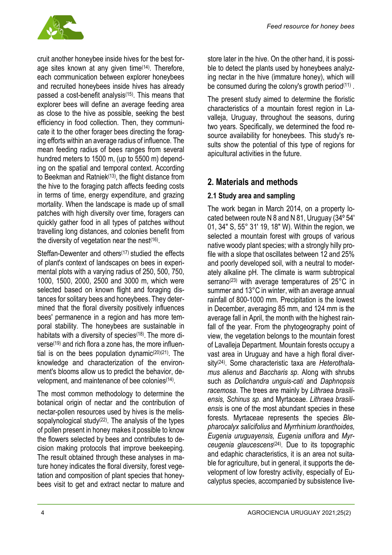

cruit another honeybee inside hives for the best forage sites known at any given time(14). Therefore, each communication between explorer honeybees and recruited honeybees inside hives has already passed a cost-benefit analysis(15). This means that explorer bees will define an average feeding area as close to the hive as possible, seeking the best efficiency in food collection. Then, they communicate it to the other forager bees directing the foraging efforts within an average radius of influence. The mean feeding radius of bees ranges from several hundred meters to 1500 m, (up to 5500 m) depending on the spatial and temporal context. According to Beekman and Ratniek<sup>(13)</sup>, the flight distance from the hive to the foraging patch affects feeding costs in terms of time, energy expenditure, and grazing mortality. When the landscape is made up of small patches with high diversity over time, foragers can quickly gather food in all types of patches without travelling long distances, and colonies benefit from the diversity of vegetation near the nest $(16)$ .

Steffan-Dewenter and others<sup>(17)</sup> studied the effects of plant's context of landscapes on bees in experimental plots with a varying radius of 250, 500, 750, 1000, 1500, 2000, 2500 and 3000 m, which were selected based on known flight and foraging distances for solitary bees and honeybees. They determined that the floral diversity positively influences bees' permanence in a region and has more temporal stability. The honeybees are sustainable in habitats with a diversity of species<sup>(18)</sup>. The more diverse(19) and rich flora a zone has, the more influential is on the bees population dynamic<sup>(20)</sup><sup>(21)</sup>. The knowledge and characterization of the environment's blooms allow us to predict the behavior, development, and maintenance of bee colonies(14).

The most common methodology to determine the botanical origin of nectar and the contribution of nectar-pollen resources used by hives is the melissopalynological study $(22)$ . The analysis of the types of pollen present in honey makes it possible to know the flowers selected by bees and contributes to decision making protocols that improve beekeeping. The result obtained through these analyses in mature honey indicates the floral diversity, forest vegetation and composition of plant species that honeybees visit to get and extract nectar to mature and

store later in the hive. On the other hand, it is possible to detect the plants used by honeybees analyzing nectar in the hive (immature honey), which will be consumed during the colony's growth period<sup>(11)</sup>.

The present study aimed to determine the floristic characteristics of a mountain forest region in Lavalleja, Uruguay, throughout the seasons, during two years. Specifically, we determined the food resource availability for honeybees. This study's results show the potential of this type of regions for apicultural activities in the future.

# **2. Materials and methods**

## **2.1 Study area and sampling**

The work began in March 2014, on a property located between route N 8 and N 81, Uruguay (34º 54' 01, 34" S, 55° 31' 19, 18" W). Within the region, we selected a mountain forest with groups of various native woody plant species; with a strongly hilly profile with a slope that oscillates between 12 and 25% and poorly developed soil, with a neutral to moderately alkaline pH. The climate is warm subtropical serrano<sup>(23)</sup> with average temperatures of 25°C in summer and 13°C in winter, with an average annual rainfall of 800-1000 mm. Precipitation is the lowest in December, averaging 85 mm, and 124 mm is the average fall in April, the month with the highest rainfall of the year. From the phytogeography point of view, the vegetation belongs to the mountain forest of Lavalleja Department. Mountain forests occupy a vast area in Uruguay and have a high floral diversity(24). Some characteristic taxa are *Heterothalamus alienus* and *Baccharis sp.* Along with shrubs such as *Dolichandra unguis-cati* and *Daphnopsis racemosa*. The trees are mainly by *Lithraea brasiliensis, Schinus sp.* and Myrtaceae. *Lithraea brasiliensis* is one of the most abundant species in these forests. Myrtaceae represents the species *Blepharocalyx salicifolius* and *Myrrhinium loranthoides, Eugenia uruguayensis, Eugenia uniflora* and *Myrceugenia glaucescens*(24)*.* Due to its topographic and edaphic characteristics, it is an area not suitable for agriculture, but in general, it supports the development of low forestry activity, especially of Eucalyptus species, accompanied by subsistence live-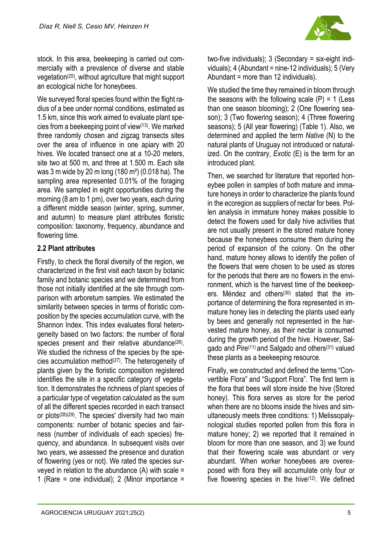

stock. In this area, beekeeping is carried out commercially with a prevalence of diverse and stable vegetation(25), without agriculture that might support an ecological niche for honeybees.

We surveyed floral species found within the flight radius of a bee under normal conditions, estimated as 1.5 km, since this work aimed to evaluate plant species from a beekeeping point of view(13). We marked three randomly chosen and zigzag transects sites over the area of influence in one apiary with 20 hives. We located transect one at a 10-20 meters, site two at 500 m, and three at 1.500 m. Each site was 3 m wide by 20 m long (180 m²) (0.018 ha). The sampling area represented 0.01% of the foraging area. We sampled in eight opportunities during the morning (8 am to 1 pm), over two years, each during a different middle season (winter, spring, summer, and autumn) to measure plant attributes floristic composition: taxonomy, frequency, abundance and flowering time.

#### **2.2 Plant attributes**

Firstly, to check the floral diversity of the region, we characterized in the first visit each taxon by botanic family and botanic species and we determined from those not initially identified at the site through comparison with arboretum samples. We estimated the similarity between species in terms of floristic composition by the species accumulation curve, with the Shannon Index. This index evaluates floral heterogeneity based on two factors: the number of floral species present and their relative abundance<sup>(26)</sup>. We studied the richness of the species by the species accumulation method $(27)$ . The heterogeneity of plants given by the floristic composition registered identifies the site in a specific category of vegetation. It demonstrates the richness of plant species of a particular type of vegetation calculated as the sum of all the different species recorded in each transect or plots(28)(29). The species' diversity had two main components: number of botanic species and fairness (number of individuals of each species) frequency, and abundance. In subsequent visits over two years, we assessed the presence and duration of flowering (yes or not). We rated the species surveyed in relation to the abundance (A) with scale = 1 (Rare = one individual); 2 (Minor importance =

two-five individuals); 3 (Secondary = six-eight individuals); 4 (Abundant = nine-12 individuals); 5 (Very Abundant = more than 12 individuals).

We studied the time they remained in bloom through the seasons with the following scale  $(P) = 1$  (Less than one season blooming); 2 (One flowering season); 3 (Two flowering season); 4 (Three flowering seasons); 5 (All year flowering) (Table 1). Also, we determined and applied the term *Native* (N) to the natural plants of Uruguay not introduced or naturalized. On the contrary, *Exotic* (E) is the term for an introduced plant.

Then, we searched for literature that reported honeybee pollen in samples of both mature and immature honeys in order to characterize the plants found in the ecoregion as suppliers of nectar for bees. Pollen analysis in immature honey makes possible to detect the flowers used for daily hive activities that are not usually present in the stored mature honey because the honeybees consume them during the period of expansion of the colony. On the other hand, mature honey allows to identify the pollen of the flowers that were chosen to be used as stores for the periods that there are no flowers in the environment, which is the harvest time of the beekeepers. Méndez and others(30) stated that the importance of determining the flora represented in immature honey lies in detecting the plants used early by bees and generally not represented in the harvested mature honey, as their nectar is consumed during the growth period of the hive. However, Salgado and Pire(11) and Salgado and others(31) valued these plants as a beekeeping resource*.*

Finally, we constructed and defined the terms "Convertible Flora" and "Support Flora". The first term is the flora that bees will store inside the hive (Stored honey). This flora serves as store for the period when there are no blooms inside the hives and simultaneously meets three conditions: 1) Melissopalynological studies reported pollen from this flora in mature honey; 2) we reported that it remained in bloom for more than one season, and 3) we found that their flowering scale was abundant or very abundant. When worker honeybees are overexposed with flora they will accumulate only four or five flowering species in the hive $(12)$ . We defined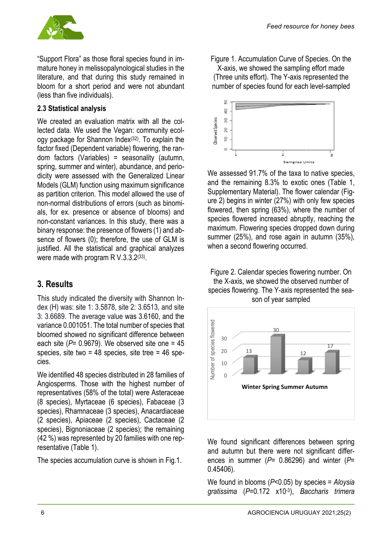

"Support Flora" as those floral species found in immature honey in melissopalynological studies in the literature, and that during this study remained in bloom for a short period and were not abundant (less than five individuals).

#### **2.3 Statistical analysis**

We created an evaluation matrix with all the collected data. We used the Vegan: community ecology package for Shannon Index(32). To explain the factor fixed (Dependent variable) flowering, the random factors (Variables) = seasonality (autumn, spring, summer and winter), abundance, and periodicity were assessed with the Generalized Linear Models (GLM) function using maximum significance as partition criterion. This model allowed the use of non-normal distributions of errors (such as binomials, for ex. presence or absence of blooms) and non-constant variances. In this study, there was a binary response: the presence of flowers (1) and absence of flowers (0); therefore, the use of GLM is justified. All the statistical and graphical analyzes were made with program R V.3.3.2<sup>(33)</sup>.

## **3. Results**

This study indicated the diversity with Shannon Index (H) was: site 1: 3.5878, site 2: 3.6513, and site 3: 3.6689. The average value was 3.6160, and the variance 0.001051. The total number of species that bloomed showed no significant difference between each site  $(P= 0.9679)$ . We observed site one  $= 45$ species, site two =  $48$  species, site tree =  $46$  species.

We identified 48 species distributed in 28 families of Angiosperms. Those with the highest number of representatives (58% of the total) were Asteraceae (8 species), Myrtaceae (6 species), Fabaceae (3 species), Rhamnaceae (3 species), Anacardiaceae (2 species), Apiaceae (2 species), Cactaceae (2 species), Bignoniaceae (2 species); the remaining (42 %) was represented by 20 families with one representative (Table 1).

The species accumulation curve is shown in Fig.1.

Figure 1. Accumulation Curve of Species. On the X-axis, we showed the sampling effort made (Three units effort). The Y-axis represented the number of species found for each level-sampled



We assessed 91.7% of the taxa to native species. and the remaining 8.3% to exotic ones (Table 1, Supplementary Material). The flower calendar (Figure 2) begins in winter (27%) with only few species flowered, then spring (63%), where the number of species flowered increased abruptly, reaching the maximum. Flowering species dropped down during summer (25%), and rose again in autumn (35%), when a second flowering occurred.

Figure 2. Calendar species flowering number. On the X-axis, we showed the observed number of species flowering. The Y-axis represented the season of year sampled



We found significant differences between spring and autumn but there were not significant differences in summer (*P*= 0.86296) and winter (*P*= 0.45406).

We found in blooms (*P*<0.05) by species *= Aloysia gratissima* (*P*=0.172 x10-3), *Baccharis trimera*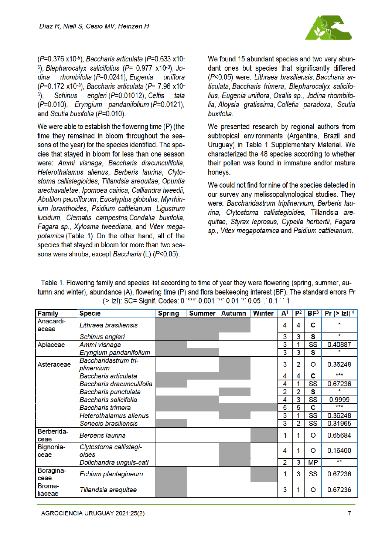

 $(P=0.376 \times 10^{-5})$ . Baccharis articulate ( $P=0.633 \times 10^{-5}$ <sup>5</sup>), Blepharocalyx salicifolius ( $P = 0.977$  x10<sup>-3</sup>), Jodina rhombifolia (P=0.0241), Eugenia uniflora  $(P=0.172 \times 10^{-3})$ . Baccharis articulata ( $P=7.96 \times 10^{-3}$ **Schinus** engleri (P=0.01012). Celtis  $5$ ). tala (P=0.010), Eryngium pandanifolium (P=0.0121), and Scutia buxifolia (P=0.010).

We were able to establish the flowering time (P) (the time they remained in bloom throughout the seasons of the year) for the species identified. The species that staved in bloom for less than one season were: Ammi visnaga, Baccharis dracunculifolia, Heterothalamus alienus. Berberis laurina. Clytostoma callistegioides. Tillandsia areguitae. Opuntia arechavaletae, Ipomoea cairica, Calliandra tweedii, Abutilon pauciflorum, Eucalyptus globulus, Myrrhinjum loranthoides. Psidium cattleianum. Ligustrum lucidum. Clematis campestris.Condalia buxifolia. Fagara sp., Xylosma tweediana, and Vitex megapotamica (Table 1). On the other hand, all of the species that stayed in bloom for more than two seasons were shrubs, except Baccharis (L) (P<0.05).

We found 15 abundant species and two very abundant ones but species that significantly differed (P<0.05) were: Lithraea brasiliensis. Baccharis articulata. Baccharis trimera. Blepharocalyx salicifolius, Eugenia uniflora, Oxalis sp., Jodina rhombifolia, Aloysia gratissima, Colletia paradoxa, Scutia buxifolia

We presented research by regional authors from subtropical environments (Argentina, Brazil and Uruguay) in Table 1 Supplementary Material. We characterized the 48 species according to whether their pollen was found in immature and/or mature honeys.

We could not find for nine of the species detected in our survey any melissopalynological studies. They were: Baccharidastrum triplinervium, Berberis laurina, Clytostoma callistegioides, Tillandsia arequitae. Styrax leprosus. Cypella herbertii. Fagara sp., Vitex megapotamica and Psidium cattleianum.

Table 1. Flowering family and species list according to time of year they were flowering (spring, summer, autumn and winter), abundance (A), flowering time (P) and flora beekeeping interest (BF). The standard errors Pr (> IzI): SC= Signif. Codes: 0 '\*\*\*' 0.001 '\*\*' 0.01 '\*' 0.05 '.' 0.1 ' ' 1

| Family             | <b>Specie</b>                      | <b>Spring</b> | Summer | <b>Autumn</b> | <b>Winter</b> | ${\bf A}^1$ | P <sup>2</sup> | BF <sup>3</sup>        | <b>Pr</b> (> $ z $ ) <sup>4</sup> |
|--------------------|------------------------------------|---------------|--------|---------------|---------------|-------------|----------------|------------------------|-----------------------------------|
| Anacardi-<br>aceae | Lithraea brasiliensis              |               |        |               |               | 4           | 4              | с                      |                                   |
|                    | Schinus engleri                    |               |        |               |               | 3           | 3              | s                      | $\star$                           |
| Apiaceae           | Ammi visnaga                       |               |        |               |               | 3           |                | $\overline{\text{SS}}$ | 0.40887                           |
|                    | Eryngium pandanifolium             |               |        |               |               | 3           | 3              | s                      |                                   |
| Asteraceae         | Baccharidastrum tri-<br>plinervium |               |        |               |               | 3           | 2              | O                      | 0.36248                           |
|                    | Baccharis articulata               |               |        |               |               | 4           | 4              | c                      | ***                               |
|                    | Baccharis dracunculifolia          |               |        |               |               | 4           |                | SS                     | 0.67236                           |
|                    | Baccharis punctulata               |               |        |               |               | 2           | 2              | s                      |                                   |
|                    | Baccharis salicifolia              |               |        |               |               | 4           | 3              | SS                     | 0.9999                            |
|                    | <b>Baccharis trimera</b>           |               |        |               |               | 5           | 5              | С                      | ***                               |
|                    | <b>Heterothalamus alienus</b>      |               |        |               |               | 3           |                | SS                     | 0.36248                           |
|                    | Senecio brasiliensis               |               |        |               |               | 3           | $\overline{2}$ | SS                     | 0.31965                           |
| Berberida-<br>ceae | <b>Berberis laurina</b>            |               |        |               |               |             |                | O                      | 0.65684                           |
| Bignonia-<br>ceae  | Clytostoma callistegi-<br>oides    |               |        |               |               | 4           |                | O                      | 0.16400                           |
|                    | Dolichandra unguis-cati            |               |        |               |               | 2           | 3              | <b>MP</b>              | **                                |
| Boragina-<br>ceae  | Echium plantagineum                |               |        |               |               |             | 3              | SS                     | 0.67236                           |
| Brome-<br>liaceae  | Tillandsia arequitae               |               |        |               |               | 3           |                | O                      | 0.67236                           |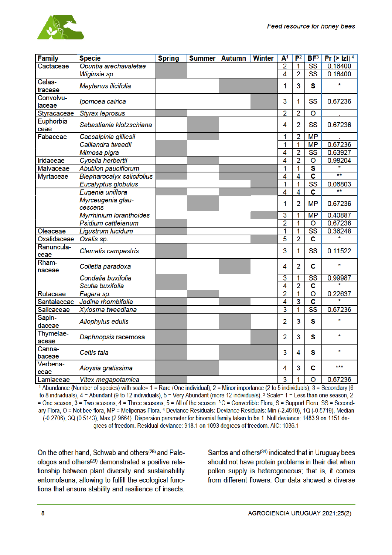

| <b>Family</b>       | <b>Specie</b>                     | <b>Spring</b> | <b>Summer Autumn</b> | <b>Winter</b> | ${\sf A}^1$             | $P^2$          | BF <sup>3</sup>         | <b>Pr</b> (> $ z $ ) <sup>4</sup> |
|---------------------|-----------------------------------|---------------|----------------------|---------------|-------------------------|----------------|-------------------------|-----------------------------------|
| Cactaceae           | Opuntia arechavaletae             |               |                      |               | $\overline{2}$          | 1              | $\overline{\text{SS}}$  | 0.16400                           |
|                     | Wiginsia sp.                      |               |                      |               | 4                       | $\overline{2}$ | $\overline{\text{ss}}$  | 0.16400                           |
| Celas-<br>traceae   | Maytenus ilicifolia               |               |                      |               | 1                       | 3              | S                       | $\star$                           |
| Convolvu-<br>laceae | Ipomoea cairica                   |               |                      |               | 3                       | 1              | SS                      | 0.67236                           |
| Styracaceae         | <b>Styrax leprosus</b>            |               |                      |               | $\overline{2}$          | 2              | O                       |                                   |
| Euphorbia-<br>ceae  | Sebastiania klotzschiana          |               |                      |               | 4                       | $\overline{2}$ | SS                      | 0.67236                           |
| Fabaceae            | Caesalpinia gilliesii             |               |                      |               | 1                       | 2              | <b>MP</b>               |                                   |
|                     | Calliandra tweedii                |               |                      |               | 1                       | 1              | <b>MP</b>               | 0.67236                           |
|                     | Mimosa pigra                      |               |                      |               | 4                       | $\overline{2}$ | SS                      | 0.63927                           |
| Iridaceae           | Cypella herbertii                 |               |                      |               | $\overline{4}$          | $\overline{2}$ | O                       | 0.98204                           |
| Malvaceae           | <b>Abutilon pauciflorum</b>       |               |                      |               | 1                       | 1              | S                       |                                   |
| Myrtaceae           | <b>Blepharocalyx salicifolius</b> |               |                      |               | 4                       | $\overline{4}$ | $\overline{\mathbf{c}}$ | **                                |
|                     | Eucalyptus globulus               |               |                      |               | 1                       | 1              | $\overline{\text{SS}}$  | 0.06803                           |
|                     | Eugenia uniflora                  |               |                      |               | 4                       | $\overline{4}$ | C                       |                                   |
|                     | Myrceugenia glau-                 |               |                      |               |                         |                |                         |                                   |
|                     | cescens                           |               |                      |               | 1                       | $\overline{2}$ | <b>MP</b>               | 0.67236                           |
|                     | <b>Myrrhinium loranthoides</b>    |               |                      |               | 3                       | 1              | <b>MP</b>               | 0.40887                           |
|                     | Psidium cattleianum               |               |                      |               | $\overline{2}$          | 1              | $\overline{\mathsf{o}}$ | 0.67236                           |
| Oleaceae            | Ligustrum lucidum                 |               |                      |               | $\overline{\mathbf{1}}$ | 1              | $\overline{\text{ss}}$  | 0.36248                           |
| Oxalidaceae         | Oxalis sp.                        |               |                      |               | $\overline{5}$          | $\overline{2}$ | $\overline{\mathbf{c}}$ |                                   |
| Ranuncula-<br>ceae  | Clematis campestris               |               |                      |               | 3                       | 1              | SS                      | 0.11522                           |
| Rham-<br>naceae     | Colletia paradoxa                 |               |                      |               | 4                       | 2              | C                       |                                   |
|                     | Condalia buxifolia                |               |                      |               | $\overline{3}$          | 1              | $\overline{\text{ss}}$  | 0.99987                           |
|                     | Scutia buxifolia                  |               |                      |               | $\overline{4}$          | $\overline{2}$ | $\overline{\mathbf{c}}$ |                                   |
| Rutaceae            | Fagara sp.                        |               |                      |               | $\overline{2}$          | 1              | $\overline{\mathsf{o}}$ | 0.22637                           |
| Santalaceae         | Jodina rhombifolia                |               |                      |               | 4                       | 3              | $\overline{\mathbf{c}}$ |                                   |
| Salicaceae          | Xylosma tweediana                 |               |                      |               | $\overline{3}$          | 1              | $\overline{\text{SS}}$  | 0.67236                           |
| Sapin-<br>daceae    | Allophylus edulis                 |               |                      |               | $\overline{2}$          | 3              | S                       | $\star$                           |
| Thymelae-<br>aceae  | Daphnopsis racemosa               |               |                      |               | $\overline{2}$          | 3              | s                       | $\star$                           |
| Canna-<br>baceae    | Celtis tala                       |               |                      |               | 3                       | 4              | S                       | $\star$                           |
| Verbena-<br>ceae    | Aloysia gratissima                |               |                      |               | 4                       | 3              | C                       | ***                               |
| Lamiaceae           | Vitex megapotamica                |               |                      |               | $\overline{3}$          | 1              | $\circ$                 | 0.67236                           |

1 Abundance (Number of species) with scale= 1 = Rare (One individual), 2 = Minor importance (2 to 5 individuals), 3 = Secondary (6 to 8 individuals),  $4 =$  Abundant (9 to 12 individuals),  $5 =$  Very Abundant (more 12 individuals). <sup>2</sup> Scale= 1 = Less than one season, 2 = One season, 3 = Two seasons, 4 = Three seasons, 5 = All of the season. 3 C = Convertible Flora, S = Support Flora, SS = Secondary Flora, O = Not bee flora, MP = Meliponas Flora. 4 Deviance Residuals: Deviance Residuals: Min (-2.4519), 1Q (-0.5719), Median (-0.2706), 3Q (0.5143), Max (2.9664). Dispersion parameter for binomial family taken to be 1. Null deviance: 1483.9 on 1151 degrees of freedom. Residual deviance: 918.1 on 1093 degrees of freedom. AIC: 1036.1

On the other hand. Schwab and others<sup>(28)</sup> and Paleologos and others<sup>(29)</sup> demonstrated a positive relationship between plant diversity and sustainability entomofauna, allowing to fulfill the ecological functions that ensure stability and resilience of insects.

Santos and others<sup>(34)</sup> indicated that in Uruguay bees should not have protein problems in their diet when pollen supply is heterogeneous; that is, it comes from different flowers. Our data showed a diverse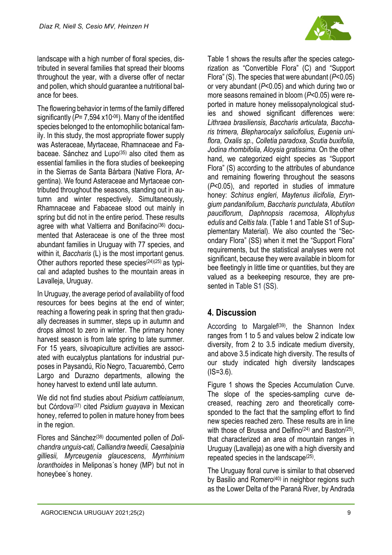

landscape with a high number of floral species, distributed in several families that spread their blooms throughout the year, with a diverse offer of nectar and pollen, which should guarantee a nutritional balance for bees.

The flowering behavior in terms of the family differed significantly (*P*= 7,594 x10-06). Many of the identified species belonged to the entomophilic botanical family. In this study, the most appropriate flower supply was Asteraceae, Myrtaceae, Rhamnaceae and Fabaceae. Sánchez and Lupo<sup>(35)</sup> also cited them as essential families in the flora studies of beekeeping in the Sierras de Santa Bárbara (Native Flora, Argentina). We found Asteraceae and Myrtaceae contributed throughout the seasons, standing out in autumn and winter respectively. Simultaneously, [Rhamnaceae](https://www.google.com/search?rlz=1C1CHBF_esUY847UY847&sxsrf=ALeKk018kRPvpah9Gl2LE4xj9bW2WvCiFw:1610998778750&q=Rhamnaceae&spell=1&sa=X&ved=2ahUKEwih8cKPnqbuAhVZDrkGHVoHCEYQkeECKAB6BAgeEDM) and Fabaceae stood out mainly in spring but did not in the entire period. These results agree with what Valtierra and Bonifacino(36) documented that Asteraceae is one of the three most abundant families in Uruguay with 77 species, and within it, *Baccharis* (L) is the most important genus. Other authors reported these species<sup> $(24)(25)$ </sup> as typical and adapted bushes to the mountain areas in Lavalleja, Uruguay.

In Uruguay, the average period of availability of food resources for bees begins at the end of winter; reaching a flowering peak in spring that then gradually decreases in summer, steps up in autumn and drops almost to zero in winter. The primary honey harvest season is from late spring to late summer. For 15 years, silvoapiculture activities are associated with eucalyptus plantations for industrial purposes in Paysandú, Río Negro, Tacuarembó, Cerro Largo and Durazno departments, allowing the honey harvest to extend until late autumn.

We did not find studies about *Psidium cattleianum*, but Córdova(37) cited *Psidium guayava* in Mexican honey, referred to pollen in mature honey from bees in the region.

Flores and Sánchez(38) documented pollen of *Dolichandra unguis-cati, Calliandra tweedii, Caesalpinia gilliesii, Myrceugenia glaucescens*, *Myrrhinium loranthoides* in Meliponas´s honey (MP) but not in honeybee´s honey.

Table 1 shows the results after the species categorization as "Convertible Flora" (C) and "Support Flora" (S). The species that were abundant (*P*<0.05) or very abundant (*P*<0.05) and which during two or more seasons remained in bloom (*P*<0.05) were reported in mature honey melissopalynological studies and showed significant differences were: *Lithraea brasiliensis, Baccharis articulata, Baccharis trimera, Blepharocalyx salicifolius, Eugenia uniflora, Oxalis sp., Colletia paradoxa, Scutia buxifolia, Jodina rhombifolia, Aloysia gratissima.* On the other hand, we categorized eight species as "Support Flora" (S) according to the attributes of abundance and remaining flowering throughout the seasons (*P*<0.05), and reported in studies of immature honey: *Schinus engleri*, *Maytenus ilicifolia*, *Eryngium pandanifolium*, *Baccharis punctulata*, *Abutilon pauciflorum*, *Daphnopsis racemosa*, *Allophylus edulis* and *Celtis tala*. (Table 1 and Table S1 of Supplementary Material). We also counted the "Secondary Flora" (SS) when it met the "Support Flora" requirements, but the statistical analyses were not significant, because they were available in bloom for bee fleetingly in little time or quantities, but they are valued as a beekeeping resource, they are presented in Table S1 (SS).

# **4. Discussion**

According to Margalef<sup>(39)</sup>, the Shannon Index ranges from 1 to 5 and values below 2 indicate low diversity, from 2 to 3.5 indicate medium diversity, and above 3.5 indicate high diversity. The results of our study indicated high diversity landscapes  $(IS=3.6)$ .

Figure 1 shows the Species Accumulation Curve. The slope of the species-sampling curve decreased, reaching zero and theoretically corresponded to the fact that the sampling effort to find new species reached zero. These results are in line with those of Brussa and Delfino<sup> $(24)$ </sup> and Baston<sup> $(25)$ </sup>, that characterized an area of mountain ranges in Uruguay (Lavalleja) as one with a high diversity and repeated species in the landscape(25).

The Uruguay floral curve is similar to that observed by Basilio and Romero<sup>(40)</sup> in neighbor regions such as the Lower Delta of the Paraná River, by Andrada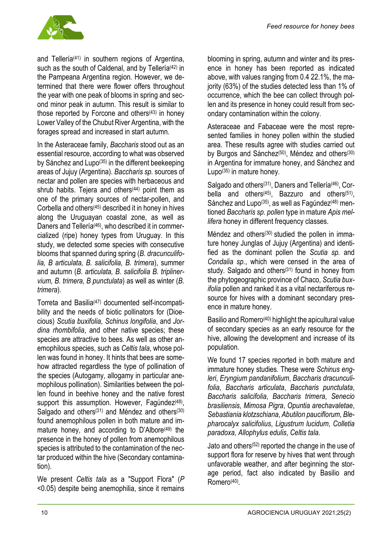

and Tellería<sup>(41)</sup> in southern regions of Argentina, such as the south of Caldenal, and by Tellería<sup>(42)</sup> in the Pampeana Argentina region. However, we determined that there were flower offers throughout the year with one peak of blooms in spring and second minor peak in autumn. This result is similar to those reported by Forcone and others $(43)$  in honey Lower Valley of the Chubut River Argentina, with the forages spread and increased in start autumn.

In the Asteraceae family, *Baccharis* stood out as an essential resource, according to what was observed by Sánchez and Lupo<sup>(35)</sup> in the different beekeeping areas of Jujuy (Argentina). *Baccharis sp.* sources of nectar and pollen are species with herbaceous and shrub habits. Tejera and others<sup>(44)</sup> point them as one of the primary sources of nectar-pollen, and Corbella and others(45) described it in honey in hives along the Uruguayan coastal zone, as well as Daners and Tellería<sup>(46)</sup>, who described it in commercialized (ripe) honey types from Uruguay. In this study, we detected some species with consecutive blooms that spanned during spring (*B. dracunculifolia, B articulata, B. salicifolia, B. trimera*), summer and autumn (*B. articulata, B. salicifolia B. triplinervium, B. trimera, B punctulata*) as well as winter (*B. trimera*).

Torreta and Basilia(47) documented self-incompatibility and the needs of biotic pollinators for (Dioecious) *Scutia buxifolia*, *Schinus longifolia*, and *Jordina rhombifolia*, and other native species; these species are attractive to bees. As well as other anemophilous species, such as *Celtis tala*, whose pollen was found in honey. It hints that bees are somehow attracted regardless the type of pollination of the species (Autogamy, allogamy in particular anemophilous pollination). Similarities between the pollen found in beehive honey and the native forest support this assumption. However, Fagundez $(48)$ , Salgado and others<sup>(31)</sup> and Méndez and others<sup>(30)</sup> found anemophilous pollen in both mature and immature honey, and according to D'Albore<sup>(49)</sup> the presence in the honey of pollen from anemophilous species is attributed to the contamination of the nectar produced within the hive (Secondary contamination).

We present *Celtis tala* as a "Support Flora" (*P* <0.05) despite being anemophilia, since it remains

blooming in spring, autumn and winter and its presence in honey has been reported as indicated above, with values ranging from 0.4 22.1%, the majority (63%) of the studies detected less than 1% of occurrence, which the bee can collect through pollen and its presence in honey could result from secondary contamination within the colony.

Asteraceae and Fabaceae were the most represented families in honey pollen within the studied area. These results agree with studies carried out by Burgos and Sánchez<sup>(50)</sup>, Méndez and others<sup>(30)</sup> in Argentina for immature honey, and Sánchez and Lupo(35) in mature honey.

Salgado and others<sup>(31)</sup>, Daners and Tellería<sup>(46)</sup>, Corbella and others(45) , Bazzuro and others(51), Sánchez and Lupo<sup>(35)</sup>, as well as Fagúndez<sup>(48)</sup> mentioned *Baccharis sp. pollen* type in mature *Apis mellifera* honey in different frequency classes.

Méndez and others<sup>(30)</sup> studied the pollen in immature honey Junglas of Jujuy (Argentina) and identified as the dominant pollen the *Scutia sp.* and *Condalia sp.*, which were censed in the area of study. Salgado and others<sup>(31)</sup> found in honey from the phytogeographic province of Chaco, *Scutia buxifolia* pollen and ranked it as a vital nectariferous resource for hives with a dominant secondary presence in mature honey.

Basilio and Romero<sup>(40)</sup> highlight the apicultural value of secondary species as an early resource for the hive, allowing the development and increase of its population.

We found 17 species reported in both mature and immature honey studies. These were *Schinus engleri*, *Eryngium pandanifolium*, *Baccharis dracunculifolia*, *Baccharis articulata*, *Baccharis punctulata*, *Baccharis salicifolia*, *Baccharis trimera*, *Senecio brasiliensis*, *Mimosa Pigra*, *Opuntia arechavaletae*, *Sebastiania klotzschiana*, *Abutilon pauciflorum*, *Blepharocalyx salicifolius*, *Ligustrum lucidum*, *Colletia paradoxa*, *Allophylus edulis*, *Celtis tala*.

Jato and others(52) reported the change in the use of support flora for reserve by hives that went through unfavorable weather, and after beginning the storage period, fact also indicated by Basilio and Romero<sup>(40)</sup>.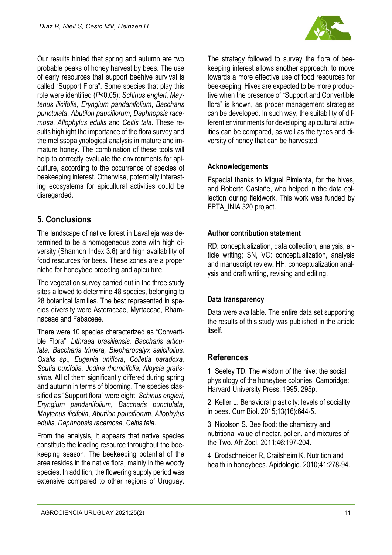

Our results hinted that spring and autumn are two probable peaks of honey harvest by bees. The use of early resources that support beehive survival is called "Support Flora". Some species that play this role were identified (*P*<0.05): *Schinus engleri*, *Maytenus ilicifolia*, *Eryngium pandanifolium*, *Baccharis punctulata*, *Abutilon pauciflorum*, *Daphnopsis racemosa*, *Allophylus edulis* and *Celtis tala*. These results highlight the importance of the flora survey and the melissopalynological analysis in mature and immature honey. The combination of these tools will help to correctly evaluate the environments for apiculture, according to the occurrence of species of beekeeping interest. Otherwise, potentially interesting ecosystems for apicultural activities could be disregarded.

# **5. Conclusions**

The landscape of native forest in Lavalleja was determined to be a homogeneous zone with high diversity (Shannon Index 3.6) and high availability of food resources for bees. These zones are a proper niche for honeybee breeding and apiculture.

The vegetation survey carried out in the three study sites allowed to determine 48 species, belonging to 28 botanical families. The best represented in species diversity were Asteraceae, Myrtaceae, Rhamnaceae and Fabaceae.

There were 10 species characterized as "Convertible Flora": *Lithraea brasiliensis, Baccharis articulata, Baccharis trimera, Blepharocalyx salicifolius, Oxalis sp., Eugenia uniflora, Colletia paradoxa, Scutia buxifolia, Jodina rhombifolia, Aloysia gratissima.* All of them significantly differed during spring and autumn in terms of blooming. The species classified as "Support flora" were eight: *Schinus engleri*, *Eryngium pandanifolium*, *Baccharis punctulata*, *Maytenus ilicifolia*, *Abutilon pauciflorum*, *Allophylus edulis*, *Daphnopsis racemosa*, *Celtis tala*.

From the analysis, it appears that native species constitute the leading resource throughout the beekeeping season. The beekeeping potential of the area resides in the native flora, mainly in the woody species. In addition, the flowering supply period was extensive compared to other regions of Uruguay.

The strategy followed to survey the flora of beekeeping interest allows another approach: to move towards a more effective use of food resources for beekeeping. Hives are expected to be more productive when the presence of "Support and Convertible flora" is known, as proper management strategies can be developed. In such way, the suitability of different environments for developing apicultural activities can be compared, as well as the types and diversity of honey that can be harvested.

## **Acknowledgements**

Especial thanks to Miguel Pimienta, for the hives, and Roberto Castañe, who helped in the data collection during fieldwork. This work was funded by FPTA\_INIA 320 project.

## **Author contribution statement**

RD: conceptualization, data collection, analysis, article writing; SN, VC: conceptualization, analysis and manuscript review**.** HH: conceptualization analysis and draft writing, revising and editing.

## **Data transparency**

Data were available. The entire data set supporting the results of this study was published in the article itself.

# **References**

1. Seeley TD. The wisdom of the hive: the social physiology of the honeybee colonies. Cambridge: Harvard University Press; 1995. 295p.

2. Keller L. Behavioral plasticity: levels of sociality in bees. Curr Biol. 2015;13(16):644-5.

3. Nicolson S. Bee food: the chemistry and nutritional value of nectar, pollen, and mixtures of the Two. Afr Zool. 2011;46:197-204.

4. Brodschneider R, Crailsheim K. Nutrition and health in honeybees. Apidologie. 2010;41:278-94.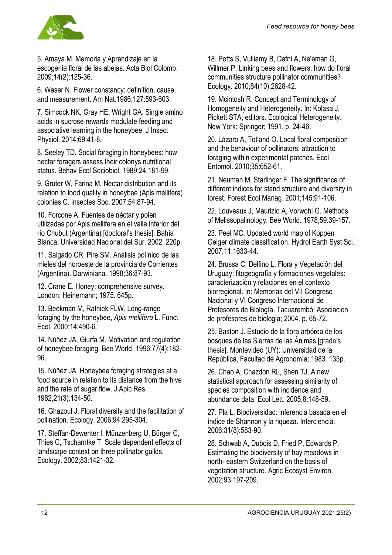

5. Amaya M. Memoria y Aprendizaje en la escogenia floral de las abejas. Acta Biol Colomb. 2009;14(2):125-36.

6. Waser N. Flower constancy: definition, cause, and measurement. Am Nat.1986;127:593-603.

7. Simcock NK, Gray HE, Wright GA. Single amino acids in sucrose rewards modulate feeding and associative learning in the honeybee. J Insect Physiol. 2014;69:41-8.

8. Seeley TD. Social foraging in honeybees: how nectar foragers assess their colonys nutritional status. Behav Ecol Sociobiol. 1989;24:181-99.

9. Gruter W, Farina M. Nectar distribution and its relation to food quality in honeybee (Apis mellifera) colonies C. Insectes Soc. 2007;54:87-94.

10. Forcone A. Fuentes de néctar y polen utilizadas por Apis mellifera en el valle inferior del río Chubut (Argentina) [doctoral's thesis]. Bahía Blanca: Universidad Nacional del Sur; 2002. 220p.

11. Salgado CR, Pire SM. Análisis polínico de las mieles del noroeste de la provincia de Corrientes (Argentina). Darwiniana. 1998;36:87-93.

12. Crane E. Honey: comprehensive survey. London: Heinemann; 1975. 645p.

13. Beekman M, Ratniek FLW. Long-range foraging by the honeybee, *Apis mellifera* L. Funct Ecol. 2000;14:490-6.

14. Núñez JA, Giurfa M. Motivation and regulation of honeybee foraging. Bee World. 1996;77(4):182- 96.

15. Núñez JA. Honeybee foraging strategies at a food source in relation to its distance from the hive and the rate of sugar flow. J Apic Res. 1982;21(3):134-50.

16. Ghazoul J. Floral diversity and the facilitation of pollination. Ecology. 2006;94:295-304.

17. Steffan-Dewenter I, Münzenberg U, Bürger C, Thies C, Tscharntke T. Scale dependent effects of landscape context on three pollinator guilds. Ecology. 2002;83:1421-32.

18. Potts S, Vulliamy B, Dafni A, Ne'eman G, Willmer P. Linking bees and flowers: how do floral communities structure pollinator communities? Ecology. 2010;84(10):2628-42.

19. Mcintosh R. Concept and Terminology of Homogeneity and Heterogeneity. In: Kolasa J, Pickett STA, editors. Ecological Heterogeneity. New York: Springer; 1991. p. 24-46.

20. Lázaro A, Totland O. Local floral composition and the behaviour of pollinators: attraction to foraging within experimental patches. Ecol Entomol. 2010;35:652-61.

21. Neuman M, Starlinger F. The significance of different indices for stand structure and diversity in forest. Forest Ecol Manag. 2001;145:91-106.

22. Louveaux J, Maurizio A, Vorwohl G. Methods of Melissopalinology. Bee World. 1978;59:39-157.

23. Peel MC. Updated world map of Koppen Geiger climate classification. Hydrol Earth Syst Sci. 2007;11:1633-44.

24. Brussa C, Delfino L. Flora y Vegetación del Uruguay: fitogeografía y formaciones vegetales: caracterización y relaciones en el contexto biorregional. In: Memorias del VII Congreso Nacional y VI Congreso Internacional de Profesores de Biología. Tacuarembó: Asociacion de profesores de biologia; 2004. p. 65-72.

25. Baston J. Estudio de la flora arbórea de los bosques de las Sierras de las Ánimas [grade's thesis]. Montevideo (UY): Universidad de la República, Facultad de Agronomía; 1983. 135p.

26. Chao A, Chazdon RL, Shen TJ. A new statistical approach for assessing similarity of species composition with incidence and abundance data. Ecol Lett. 2005;8:148-59.

27. Pla L. Biodiversidad: inferencia basada en el índice de Shannon y la riqueza. Interciencia. 2006;31(8):583-90.

28. Schwab A, Dubois D, Fried P, Edwards P. Estimating the biodiversity of hay meadows in north- eastern Switzerland on the basis of vegetation structure. Agric Ecosyst Environ. 2002;93:197-209.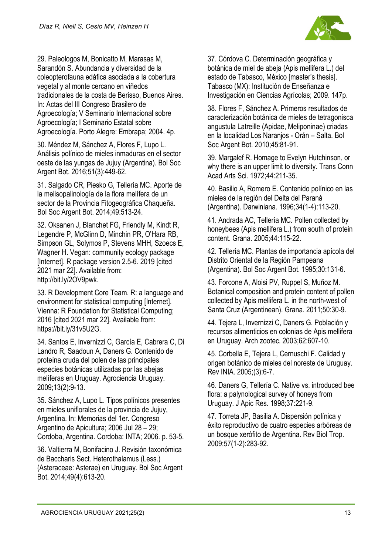

29. Paleologos M, Bonicatto M, Marasas M, Sarandón S. Abundancia y diversidad de la coleopterofauna edáfica asociada a la cobertura vegetal y al monte cercano en viñedos tradicionales de la costa de Berisso, Buenos Aires. In: Actas del lII Congreso Brasilero de Agroecología; V Seminario Internacional sobre Agroecología; I Seminario Estatal sobre Agroecología. Porto Alegre: Embrapa; 2004. 4p.

30. Méndez M, Sánchez A, Flores F, Lupo L. Análisis polínico de mieles inmaduras en el sector oeste de las yungas de Jujuy (Argentina). Bol Soc Argent Bot. 2016;51(3):449-62.

31. Salgado CR, Piesko G, Tellería MC. Aporte de la melisopalinología de la flora melífera de un sector de la Provincia Fitogeográfica Chaqueña. Bol Soc Argent Bot. 2014;49:513-24.

32. Oksanen J, Blanchet FG, Friendly M, Kindt R, Legendre P, McGlinn D, Minchin PR, O'Hara RB, Simpson GL, Solymos P, Stevens MHH, Szoecs E, Wagner H. Vegan: community ecology package [Internet]. R package version 2.5-6. 2019 [cited 2021 mar 22]. Available from: http://bit.ly/2OV9pwk.

33. R Development Core Team. R: a language and environment for statistical computing [Internet]. Vienna: R Foundation for Statistical Computing; 2016 [cited 2021 mar 22]. Available from: https://bit.ly/31v5U2G.

34. Santos E, Invernizzi C, García E, Cabrera C, Di Landro R, Saadoun A, Daners G. Contenido de proteína cruda del polen de las principales especies botánicas utilizadas por las abejas melíferas en Uruguay. Agrociencia Uruguay. 2009;13(2):9-13.

35. Sánchez A, Lupo L. Tipos polínicos presentes en mieles uniflorales de la provincia de Jujuy, Argentina. In: Memorias del 1er. Congreso Argentino de Apicultura; 2006 Jul 28 – 29; Cordoba, Argentina. Cordoba: INTA; 2006. p. 53-5.

36. Valtierra M, Bonifacino J. Revisión taxonómica de Baccharis Sect. Heterothalamus (Less.) (Asteraceae: Asterae) en Uruguay. Bol Soc Argent Bot. 2014;49(4):613-20.

37. Córdova C. Determinación geográfica y botánica de miel de abeja (Apis mellifera L.) del estado de Tabasco, México [master's thesis]. Tabasco (MX): Institución de Enseñanza e Investigación en Ciencias Agrícolas; 2009. 147p.

38. Flores F, Sánchez A. Primeros resultados de caracterización botánica de mieles de tetragonisca angustula Latreille (Apidae, Meliponinae) criadas en la localidad Los Naranjos - Orán – Salta. Bol Soc Argent Bot. 2010;45:81-91.

39. Margalef R. Homage to Evelyn Hutchinson, or why there is an upper limit to diversity. Trans Conn Acad Arts Sci. 1972;44:211-35.

40. Basilio A, Romero E. Contenido polínico en las mieles de la región del Delta del Paraná (Argentina). Darwiniana. 1996;34(1-4):113-20.

41. Andrada AC, Tellería MC. Pollen collected by honeybees (Apis mellifera L.) from south of protein content. Grana. 2005;44:115-22.

42. Tellería MC. Plantas de importancia apícola del Distrito Oriental de la Región Pampeana (Argentina). Bol Soc Argent Bot. 1995;30:131-6.

43. Forcone A, Aloisi PV, Ruppel S, Muñoz M. Botanical composition and protein content of pollen collected by Apis mellifera L. in the north-west of Santa Cruz (Argentinean). Grana. 2011;50:30-9.

44. Tejera L, Invernizzi C, Daners G. Población y recursos alimenticios en colonias de Apis mellifera en Uruguay. Arch zootec. 2003;62:607-10.

45. Corbella E, Tejera L, Cernuschi F. Calidad y origen botánico de mieles del noreste de Uruguay. Rev INIA. 2005;(3):6-7.

46. Daners G, Tellería C. Native vs. introduced bee flora: a palynological survey of honeys from Uruguay. J Apic Res. 1998;37:221-9.

47. Torreta JP, Basilia A. Dispersión polínica y éxito reproductivo de cuatro especies arbóreas de un bosque xerófito de Argentina. Rev Biol Trop. 2009;57(1-2):283-92.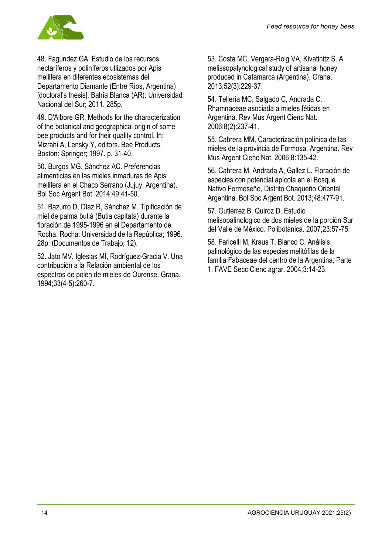

48. Fagúndez GA. Estudio de los recursos nectaríferos y poliníferos utlizados por Apis mellifera en diferentes ecosistemas del Departamento Diamante (Entre Ríos, Argentina) [doctoral's thesis]. Bahía Blanca (AR): Universidad Nacional del Sur; 2011. 285p.

49. D'Albore GR. Methods for the characterization of the botanical and geographical origin of some bee products and for their quality control. In: Mizrahi A, Lensky Y, editors. Bee Products. Boston: Springer; 1997. p. 31-40.

50. Burgos MG, Sánchez AC. Preferencias alimenticias en las mieles inmaduras de Apis mellifera en el Chaco Serrano (Jujuy, Argentina). Bol Soc Argent Bot. 2014;49:41-50.

51. Bazurro D, Díaz R, Sánchez M. Tipificación de miel de palma butiá (Butia capitata) durante la floración de 1995-1996 en el Departamento de Rocha. Rocha: Universidad de la República; 1996. 28p. (Documentos de Trabajo; 12).

52. Jato MV, Iglesias MI, Rodríguez-Gracia V. Una contribución a la Relación ambiental de los espectros de polen de mieles de Ourense. Grana. 1994;33(4-5):260-7.

53. Costa MC, Vergara-Roig VA, Kivatinitz S. A melissopalynological study of artisanal honey produced in Catamarca (Argentina). Grana. 2013;52(3):229-37.

54. Tellería MC, Salgado C, Andrada C. Rhamnaceae asociada a mieles fétidas en Argentina. Rev Mus Argent Cienc Nat. 2006;8(2):237-41.

55. Cabrera MM. Caracterización polínica de las mieles de la provincia de Formosa, Argentina. Rev Mus Argent Cienc Nat. 2006;8:135-42.

56. Cabrera M, Andrada A, Gallez L. Floración de especies con potencial apícola en el Bosque Nativo Formoseño, Distrito Chaqueño Oriental Argentina. Bol Soc Argent Bot. 2013;48:477-91.

57. Gutiérrez B, Quiroz D. Estudio melisopalinologico de dos mieles de la porción Sur del Valle de México. Polibotánica. 2007;23:57-75.

58. Faricelli M, Kraus T, Bianco C. Análisis palinológico de las especies melitófilas de la familia Fabaceae del centro de la Argentina: Parte 1. FAVE Secc Cienc agrar. 2004;3:14-23.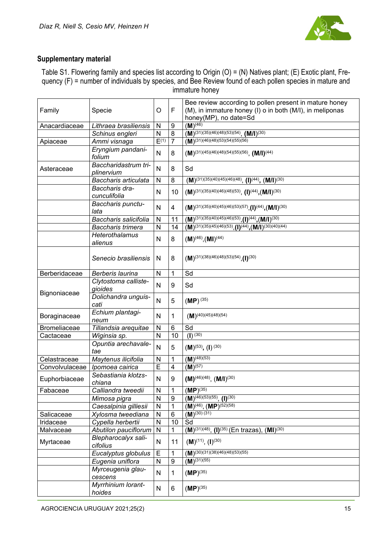

#### **Supplementary material**

Table S1. Flowering family and species list according to Origin (O) = (N) Natives plant; (E) Exotic plant, Frequency (F) = number of individuals by species, and Bee Review found of each pollen species in mature and immature honey

|                     |                                    |              |                  | Bee review according to pollen present in mature honey                                               |
|---------------------|------------------------------------|--------------|------------------|------------------------------------------------------------------------------------------------------|
| Family              | Specie                             | O            | F                | (M), in immature honey (I) o in both (M/I), in meliponas                                             |
|                     |                                    |              |                  | honey(MP), no date=Sd                                                                                |
| Anacardiaceae       | Lithraea brasiliensis              | $\mathsf{N}$ | 9                | $(M)^{(46)}$                                                                                         |
|                     | Schinus engleri                    | N            | 8                | $(M)^{(31)(35)(46)(48)(53)(54)}$ , $(M/I)^{(30)}$                                                    |
| Apiaceae            | Ammi visnaga                       | E(1)         | $\overline{7}$   | $\overline{(\mathbf{M})^{(31)(46)(48)(53)(54)(55)(56)}}$                                             |
|                     | Eryngium pandani-<br>folium        | N            | 8                | $(M)^{(31)(45)(46)(48)(54)(55)(56)}$ , $(M/I)^{(44)}$                                                |
| Asteraceae          | Baccharidastrum tri-<br>plinervium | N            | 8                | Sd                                                                                                   |
|                     | Baccharis articulata               | N            | 8                | $(M)^{(31)(35)(40)(45)(46)(48)}$ , $(I)^{(44)}$ , $(M/I)^{(30)}$                                     |
|                     | Baccharis dra-<br>cunculifolia     | N            | 10               | $(M)^{(31)(35)(40)(46)(48)(53)}$ , $(I)^{(44)}$ , $(M/I)^{(30)}$                                     |
|                     | Baccharis punctu-<br>lata          | N            | 4                | $(M)^{(31)(35)(40)(45)(46)(53)(57)}$ , $(I)^{(44)}$ , $(M/I)^{(30)}$                                 |
|                     | Baccharis salicifolia              | N            | 11               | $(M)^{(31)(35)(40)(45)(46)(53)}$ , $(I)^{(44)}$ , $(M/I)^{(30)}$                                     |
|                     | Baccharis trimera                  | N            | 14               | $\overline{(M)^{(31)(35)(45)(46)(53)}$ , $\overline{(I)^{(44)}}$ , $\overline{(M/I)^{(30)(40)(44)}}$ |
|                     | <b>Heterothalamus</b><br>alienus   | N            | 8                | $(M)^{(46)}$ , $(MI)^{(44)}$                                                                         |
|                     | Senecio brasiliensis               | N            | 8                | $(M)^{(31)(38)(46)(48)(53)(54)}$                                                                     |
| Berberidaceae       | Berberis laurina                   | N            | 1                | Sd                                                                                                   |
| Bignoniaceae        | Clytostoma calliste-<br>gioides    | N            | 9                | Sd                                                                                                   |
|                     | Dolichandra unguis-<br>cati        | N            | 5                | $(MP)^{(35)}$                                                                                        |
| Boraginaceae        | Echium plantagi-<br>neum           | N            | 1                | $(M)$ <sup>(40)</sup> (45)(48)(54)                                                                   |
| <b>Bromeliaceae</b> | Tillandsia arequitae               | N            | 6                | Sd                                                                                                   |
| Cactaceae           | Wiginsia sp.                       | N            | 10               | $\overline{(\mathsf{I})^{(30)}}$                                                                     |
|                     | Opuntia arechavale-<br>tae         | N            | 5                | $(M)^{(53)}$ , $(I)^{(30)}$                                                                          |
| Celastraceae        | Maytenus ilicifolia                | N            | 1                | $(M)^{(48)(53)}$                                                                                     |
| Convolvulaceae      | Ipomoea cairica                    | E            | 4                | $(\overline{\mathsf{M}})^{(57)}$                                                                     |
| Euphorbiaceae       | Sebastiania klotzs-<br>chiana      | N            | 9                | $(M)^{(46)(48)}$ , $(M/I)^{(30)}$                                                                    |
| Fabaceae            | Calliandra tweedii                 | N            | 1                | $(MP)^{(35)}$                                                                                        |
|                     | Mimosa pigra                       | N            | 9                | $(M)^{(46)(53)(55)}$ , $(I)^{(30)}$                                                                  |
|                     | Caesalpinia gilliesii              | N            | 1                | $(M)^{(46)}$ , $(MP)^{(52)(58)}$                                                                     |
| Salicaceae          | Xylosma tweediana                  | N            | $\,6$            | $(\overline{\mathbf{M}})^{(30)(31)}$                                                                 |
| Iridaceae           | Cypella herbertii                  | N            | 10               | Sd                                                                                                   |
| Malvaceae           | Abutilon pauciflorum               | $\mathsf{N}$ | 1                | $(M)^{(31)(48)}$ , $(I)^{(35)}$ (En trazas), $(MI)^{(30)}$                                           |
| Myrtaceae           | Blepharocalyx sali-<br>cifolius    | N            | 11               | $(M)^{(11)}, (I)^{(30)}$                                                                             |
|                     | Eucalyptus globulus                | E            | 1                | $(M)^{(30)(\overline{31})(38)(46)(48)(53)(55)}$                                                      |
|                     | Eugenia uniflora                   | N            | $\boldsymbol{9}$ | $(M)^{(31)(55)}$                                                                                     |
|                     | Myrceugenia glau-<br>cescens       | N            | 1                | $(MP)^{(35)}$                                                                                        |
|                     | Myrrhinium lorant-<br>hoides       | N            | 6                | $(MP)^{(35)}$                                                                                        |